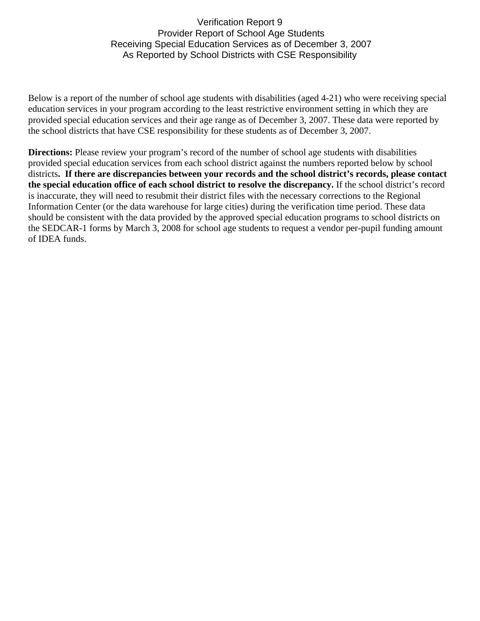## Verification Report 9 Provider Report of School Age Students Receiving Special Education Services as of December 3, 2007 As Reported by School Districts with CSE Responsibility

Below is a report of the number of school age students with disabilities (aged 4-21) who were receiving special education services in your program according to the least restrictive environment setting in which they are provided special education services and their age range as of December 3, 2007. These data were reported by the school districts that have CSE responsibility for these students as of December 3, 2007.

**Directions:** Please review your program's record of the number of school age students with disabilities provided special education services from each school district against the numbers reported below by school districts**. If there are discrepancies between your records and the school district's records, please contact the special education office of each school district to resolve the discrepancy.** If the school district's record is inaccurate, they will need to resubmit their district files with the necessary corrections to the Regional Information Center (or the data warehouse for large cities) during the verification time period. These data should be consistent with the data provided by the approved special education programs to school districts on the SEDCAR-1 forms by March 3, 2008 for school age students to request a vendor per-pupil funding amount of IDEA funds.